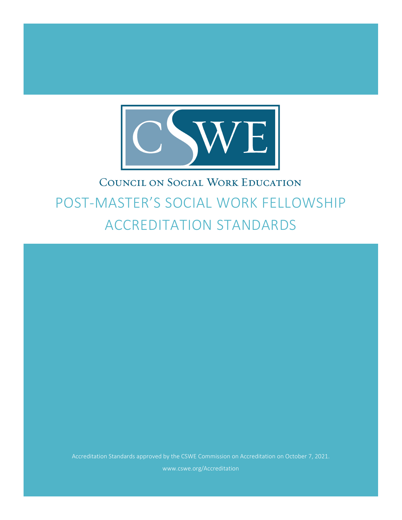

# COUNCIL ON SOCIAL WORK EDUCATION POST-MASTER'S SOCIAL WORK FELLOWSHIP ACCREDITATION STANDARDS

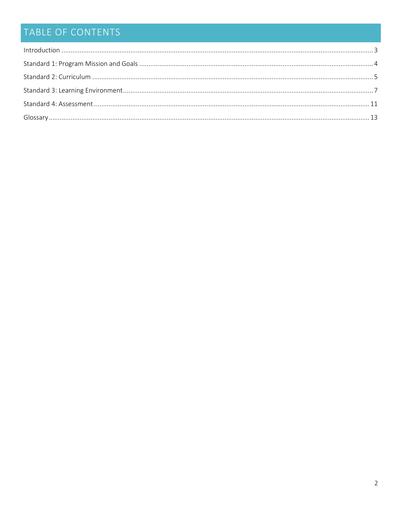## TABLE OF CONTENTS

| $\label{eq:interoduction} \mbox{Introduction} \,\, \ldots \,\, \ldots \,\, \ldots \,\, \ldots \,\, \ldots \,\, \ldots \,\, \ldots \,\, \ldots \,\, \ldots \,\, \ldots \,\, \ldots \,\, \ldots \,\, \ldots \,\, \ldots \,\, \ldots \,\, \ldots \,\, \ldots \,\, \ldots \,\, \ldots \,\, \ldots \,\, \ldots \,\, \ldots \,\, \ldots \,\, \ldots \,\, \ldots \,\, \ldots \,\, \ldots \,\, \ldots \,\, \ldots \,\, \ldots \,\, \ldots \,\, \ldots \,\, \ldots \,\, \ldots \$ |  |
|--------------------------------------------------------------------------------------------------------------------------------------------------------------------------------------------------------------------------------------------------------------------------------------------------------------------------------------------------------------------------------------------------------------------------------------------------------------------------|--|
|                                                                                                                                                                                                                                                                                                                                                                                                                                                                          |  |
|                                                                                                                                                                                                                                                                                                                                                                                                                                                                          |  |
|                                                                                                                                                                                                                                                                                                                                                                                                                                                                          |  |
|                                                                                                                                                                                                                                                                                                                                                                                                                                                                          |  |
|                                                                                                                                                                                                                                                                                                                                                                                                                                                                          |  |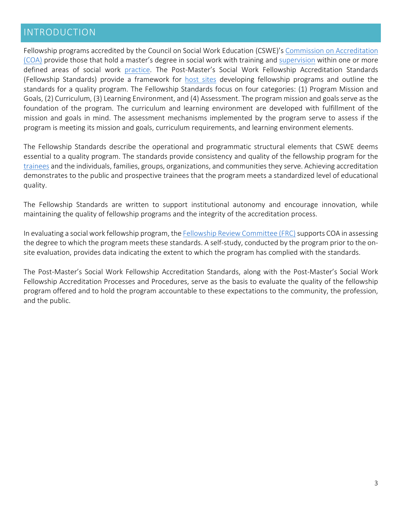#### <span id="page-2-0"></span>INTRODUCTION

Fellowship programs accredited by the Council on Social Work Education (CSWE)'s [Commission on Accreditation](#page-12-0)  [\(COA\)](#page-12-0) provide those that hold a master's degree in social work with training and [supervision](#page-12-0) within one or more defined areas of social work [practice.](#page-12-0) The Post-Master's Social Work Fellowship Accreditation Standards (Fellowship Standards) provide a framework for [host sites](#page-12-0) developing fellowship programs and outline the standards for a quality program. The Fellowship Standards focus on four categories: (1) Program Mission and Goals, (2) Curriculum, (3) Learning Environment, and (4) Assessment. The program mission and goals serve as the foundation of the program. The curriculum and learning environment are developed with fulfillment of the mission and goals in mind. The assessment mechanisms implemented by the program serve to assess if the program is meeting its mission and goals, curriculum requirements, and learning environment elements.

The Fellowship Standards describe the operational and programmatic structural elements that CSWE deems essential to a quality program. The standards provide consistency and quality of the fellowship program for the [trainees](#page-12-0) and the individuals, families, groups, organizations, and communities they serve. Achieving accreditation demonstrates to the public and prospective trainees that the program meets a standardized level of educational quality.

The Fellowship Standards are written to support institutional autonomy and encourage innovation, while maintaining the quality of fellowship programs and the integrity of the accreditation process.

In evaluating a social work fellowship program, the Fellowship Review Committee (FRC) supports COA in assessing the degree to which the program meets these standards. A self-study, conducted by the program prior to the onsite evaluation, provides data indicating the extent to which the program has complied with the standards.

The Post-Master's Social Work Fellowship Accreditation Standards, along with the Post-Master's Social Work Fellowship Accreditation Processes and Procedures, serve as the basis to evaluate the quality of the fellowship program offered and to hold the program accountable to these expectations to the community, the profession, and the public.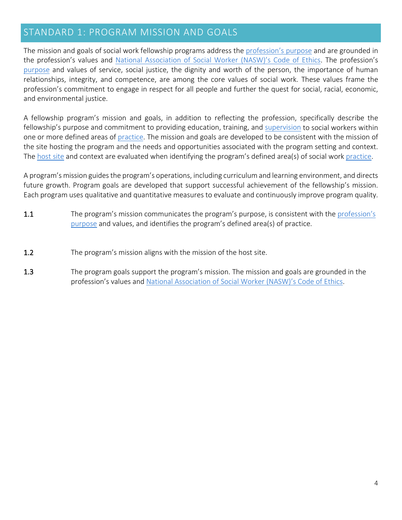### <span id="page-3-0"></span>STANDARD 1: PROGRAM MISSION AND GOALS

The mission and goals of social work fellowship programs address the [profession's purpose](#page-12-0) and are grounded in the profession's values and [National Association of Social Worker \(NASW\)'s Code of Ethics.](https://www.socialworkers.org/About/Ethics/Code-of-Ethics) The profession's [purpose](#page-12-0) and values of service, social justice, the dignity and worth of the person, the importance of human relationships, integrity, and competence, are among the core values of social work. These values frame the profession's commitment to engage in respect for all people and further the quest for social, racial, economic, and environmental justice.

A fellowship program's mission and goals, in addition to reflecting the profession, specifically describe the fellowship's purpose and commitment to providing education, training, and [supervision](#page-12-0) to social workers within one or more defined areas of [practice.](#page-12-0) The mission and goals are developed to be consistent with the mission of the site hosting the program and the needs and opportunities associated with the program setting and context. The [host site](#page-12-0) and context are evaluated when identifying the program's defined area(s) of social work [practice.](#page-12-0)

A program's mission guides the program's operations, including curriculum and learning environment, and directs future growth. Program goals are developed that support successful achievement of the fellowship's mission. Each program uses qualitative and quantitative measures to evaluate and continuously improve program quality.

- 1.1 The program's mission communicates the program's purpose, is consistent with the profession's [purpose](#page-12-0) and values, and identifies the program's defined area(s) of practice.
- 1.2 The program's mission aligns with the mission of the host site.
- 1.3 The program goals support the program's mission. The mission and goals are grounded in the profession's values and [National Association of Social Worker \(NASW\)'s Code of Ethics.](https://www.socialworkers.org/About/Ethics/Code-of-Ethics)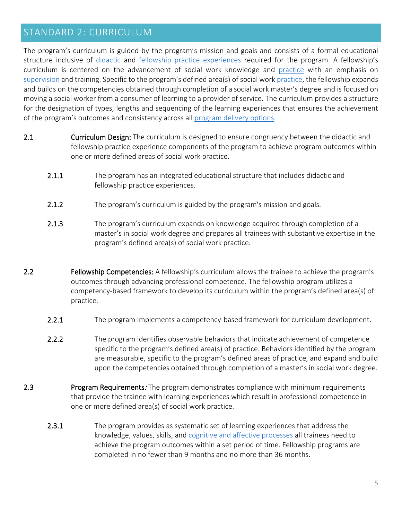#### <span id="page-4-0"></span>STANDARD 2: CURRICULUM

The program's curriculum is guided by the program's mission and goals and consists of a formal educational structure inclusive of [didactic](#page-12-0) and [fellowship practice experiences](#page-12-0) required for the program. A fellowship's curriculum is centered on the advancement of social work knowledge and [practice](#page-12-0) with an emphasis on [supervision](#page-12-0) and training. Specific to the program's defined area(s) of social wor[k practice,](#page-12-0) the fellowship expands and builds on the competencies obtained through completion of a social work master's degree and is focused on moving a social worker from a consumer of learning to a provider of service. The curriculum provides a structure for the designation of types, lengths and sequencing of the learning experiences that ensures the achievement of the program's outcomes and consistency across all [program delivery options.](#page-12-0)

- 2.1 Curriculum Design: The curriculum is designed to ensure congruency between the didactic and fellowship practice experience components of the program to achieve program outcomes within one or more defined areas of social work practice.
	- 2.1.1 The program has an integrated educational structure that includes didactic and fellowship practice experiences.
	- 2.1.2 The program's curriculum is guided by the program's mission and goals.
	- 2.1.3 The program's curriculum expands on knowledge acquired through completion of a master's in social work degree and prepares all trainees with substantive expertise in the program's defined area(s) of social work practice.
- 2.2 Fellowship Competencies: A fellowship's curriculum allows the trainee to achieve the program's outcomes through advancing professional competence. The fellowship program utilizes a competency-based framework to develop its curriculum within the program's defined area(s) of practice.
	- 2.2.1 The program implements a competency-based framework for curriculum development.
	- 2.2.2 The program identifies observable behaviors that indicate achievement of competence specific to the program's defined area(s) of practice. Behaviors identified by the program are measurable, specific to the program's defined areas of practice, and expand and build upon the competencies obtained through completion of a master's in social work degree.
- 2.3 **Program Requirements:** The program demonstrates compliance with minimum requirements that provide the trainee with learning experiences which result in professional competence in one or more defined area(s) of social work practice.
	- 2.3.1 The program provides as systematic set of learning experiences that address the knowledge, values, skills, and [cognitive and affective processes](#page-12-0) all trainees need to achieve the program outcomes within a set period of time. Fellowship programs are completed in no fewer than 9 months and no more than 36 months.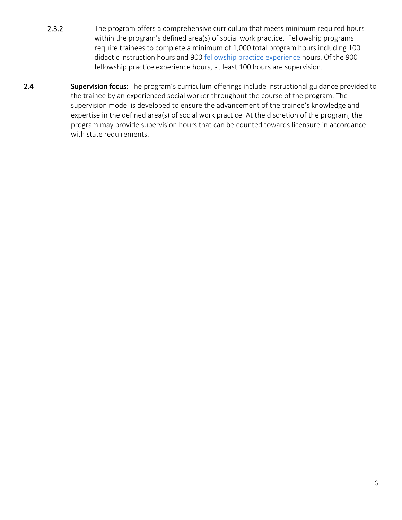- 2.3.2 The program offers a comprehensive curriculum that meets minimum required hours within the program's defined area(s) of social work practice. Fellowship programs require trainees to complete a minimum of 1,000 total program hours including 100 didactic instruction hours and 900 [fellowship practice experience](#page-12-0) hours. Of the 900 fellowship practice experience hours, at least 100 hours are supervision.
- 2.4 Supervision focus: The program's curriculum offerings include instructional guidance provided to the trainee by an experienced social worker throughout the course of the program. The supervision model is developed to ensure the advancement of the trainee's knowledge and expertise in the defined area(s) of social work practice. At the discretion of the program, the program may provide supervision hours that can be counted towards licensure in accordance with state requirements.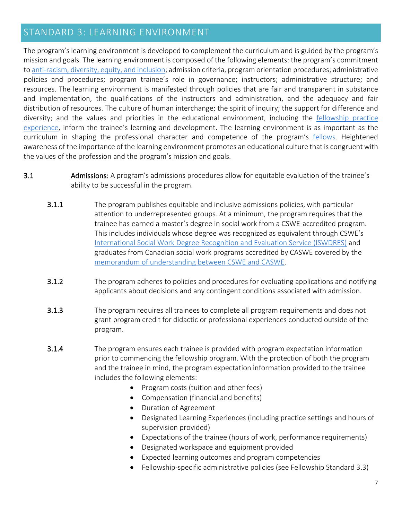#### <span id="page-6-0"></span>STANDARD 3: LEARNING ENVIRONMENT

The program's learning environment is developed to complement the curriculum and is guided by the program's mission and goals. The learning environment is composed of the following elements: the program's commitment t[o anti-racism, diversity, equity, and inclusion;](#page-12-0) admission criteria, program orientation procedures; administrative policies and procedures; program trainee's role in governance; instructors; administrative structure; and resources. The learning environment is manifested through policies that are fair and transparent in substance and implementation, the qualifications of the instructors and administration, and the adequacy and fair distribution of resources. The culture of human interchange; the spirit of inquiry; the support for difference and diversity; and the values and priorities in the educational environment, including the [fellowship practice](#page-12-0)  [experience,](#page-12-0) inform the trainee's learning and development. The learning environment is as important as the curriculum in shaping the professional character and competence of the program's **fellows**. Heightened awareness of the importance of the learning environment promotes an educational culture that is congruent with the values of the profession and the program's mission and goals.

- 3.1 Admissions: A program's admissions procedures allow for equitable evaluation of the trainee's ability to be successful in the program.
	- **3.1.1** The program publishes equitable and inclusive admissions policies, with particular attention to underrepresented groups. At a minimum, the program requires that the trainee has earned a master's degree in social work from a CSWE-accredited program. This includes individuals whose degree was recognized as equivalent through CSWE's [International Social Work Degree Recognition and Evaluation Service \(ISWDRES\)](https://www.cswe.org/Accreditation/Other/International-Degree-Review.aspx) and graduates from Canadian social work programs accredited by CASWE covered by the [memorandum of understanding between CSWE and CASWE.](https://www.cswe.org/getattachment/Accreditation/Information/Frequently-Asked-Questions/Are-programs-outside-the-United-States-accredited/CASWE-MOU.pdf.aspx)
	- **3.1.2** The program adheres to policies and procedures for evaluating applications and notifying applicants about decisions and any contingent conditions associated with admission.
	- **3.1.3** The program requires all trainees to complete all program requirements and does not grant program credit for didactic or professional experiences conducted outside of the program.
	- **3.1.4** The program ensures each trainee is provided with program expectation information prior to commencing the fellowship program. With the protection of both the program and the trainee in mind, the program expectation information provided to the trainee includes the following elements:
		- Program costs (tuition and other fees)
		- Compensation (financial and benefits)
		- Duration of Agreement
		- Designated Learning Experiences (including practice settings and hours of supervision provided)
		- Expectations of the trainee (hours of work, performance requirements)
		- Designated workspace and equipment provided
		- Expected learning outcomes and program competencies
		- Fellowship-specific administrative policies (see Fellowship Standard 3.3)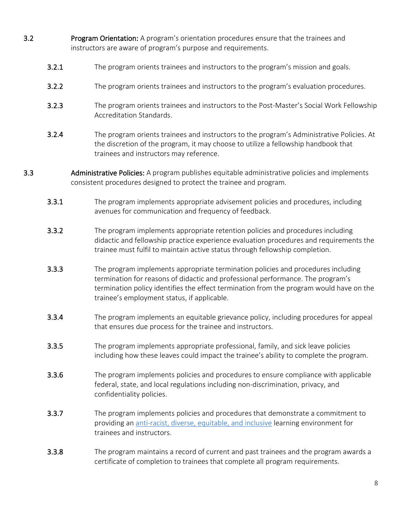- 3.2 Program Orientation: A program's orientation procedures ensure that the trainees and instructors are aware of program's purpose and requirements.
	- **3.2.1** The program orients trainees and instructors to the program's mission and goals.
	- 3.2.2 The program orients trainees and instructors to the program's evaluation procedures.
	- **3.2.3** The program orients trainees and instructors to the Post-Master's Social Work Fellowship Accreditation Standards.
	- 3.2.4 The program orients trainees and instructors to the program's Administrative Policies. At the discretion of the program, it may choose to utilize a fellowship handbook that trainees and instructors may reference.
- 3.3 Administrative Policies: A program publishes equitable administrative policies and implements consistent procedures designed to protect the trainee and program.
	- **3.3.1** The program implements appropriate advisement policies and procedures, including avenues for communication and frequency of feedback.
	- 3.3.2 The program implements appropriate retention policies and procedures including didactic and fellowship practice experience evaluation procedures and requirements the trainee must fulfil to maintain active status through fellowship completion.
	- 3.3.3 The program implements appropriate termination policies and procedures including termination for reasons of didactic and professional performance. The program's termination policy identifies the effect termination from the program would have on the trainee's employment status, if applicable.
	- 3.3.4 The program implements an equitable grievance policy, including procedures for appeal that ensures due process for the trainee and instructors.
	- 3.3.5 The program implements appropriate professional, family, and sick leave policies including how these leaves could impact the trainee's ability to complete the program.
	- **3.3.6** The program implements policies and procedures to ensure compliance with applicable federal, state, and local regulations including non-discrimination, privacy, and confidentiality policies.
	- **3.3.7** The program implements policies and procedures that demonstrate a commitment to providing an [anti-racist, diverse, equitable, and inclusive](#page-12-0) learning environment for trainees and instructors.
	- **3.3.8** The program maintains a record of current and past trainees and the program awards a certificate of completion to trainees that complete all program requirements.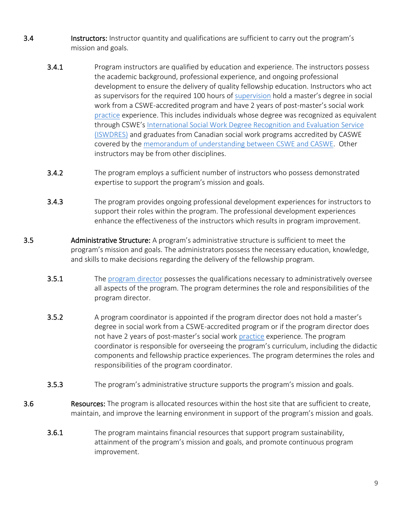- 3.4 Instructors: Instructor quantity and qualifications are sufficient to carry out the program's mission and goals.
	- **3.4.1** Program instructors are qualified by education and experience. The instructors possess the academic background, professional experience, and ongoing professional development to ensure the delivery of quality fellowship education. Instructors who act as supervisors for the required 100 hours of [supervision](#page-12-0) hold a master's degree in social work from a CSWE-accredited program and have 2 years of post-master's social work [practice](#page-12-0) experience. This includes individuals whose degree was recognized as equivalent through CSWE's [International Social Work Degree Recognition and Evaluation Service](https://www.cswe.org/Accreditation/Other/International-Degree-Review.aspx)  [\(ISWDRES\)](https://www.cswe.org/Accreditation/Other/International-Degree-Review.aspx) and graduates from Canadian social work programs accredited by CASWE covered by th[e memorandum of understanding between CSWE and CASWE.](https://www.cswe.org/getattachment/Accreditation/Information/Frequently-Asked-Questions/Are-programs-outside-the-United-States-accredited/CASWE-MOU.pdf.aspx) Other instructors may be from other disciplines.
	- 3.4.2 The program employs a sufficient number of instructors who possess demonstrated expertise to support the program's mission and goals.
	- 3.4.3 The program provides ongoing professional development experiences for instructors to support their roles within the program. The professional development experiences enhance the effectiveness of the instructors which results in program improvement.
- 3.5 Administrative Structure: A program's administrative structure is sufficient to meet the program's mission and goals. The administrators possess the necessary education, knowledge, and skills to make decisions regarding the delivery of the fellowship program.
	- 3.5.1 The [program director](#page-12-0) possesses the qualifications necessary to administratively oversee all aspects of the program. The program determines the role and responsibilities of the program director.
	- 3.5.2 A program coordinator is appointed if the program director does not hold a master's degree in social work from a CSWE-accredited program or if the program director does not have 2 years of post-master's social work [practice](#page-12-0) experience. The program coordinator is responsible for overseeing the program's curriculum, including the didactic components and fellowship practice experiences. The program determines the roles and responsibilities of the program coordinator.
	- **3.5.3** The program's administrative structure supports the program's mission and goals.
- **3.6** Resources: The program is allocated resources within the host site that are sufficient to create, maintain, and improve the learning environment in support of the program's mission and goals.
	- 3.6.1 The program maintains financial resources that support program sustainability, attainment of the program's mission and goals, and promote continuous program improvement.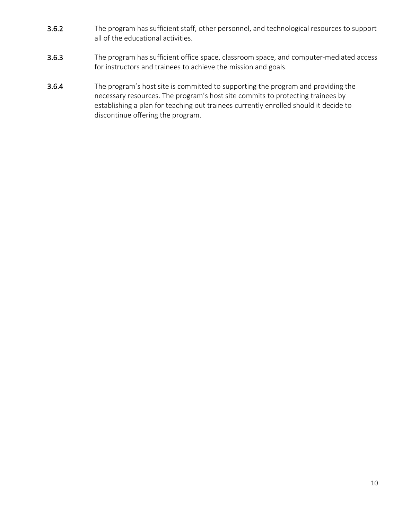- 3.6.2 The program has sufficient staff, other personnel, and technological resources to support all of the educational activities.
- 3.6.3 The program has sufficient office space, classroom space, and computer-mediated access for instructors and trainees to achieve the mission and goals.
- 3.6.4 The program's host site is committed to supporting the program and providing the necessary resources. The program's host site commits to protecting trainees by establishing a plan for teaching out trainees currently enrolled should it decide to discontinue offering the program.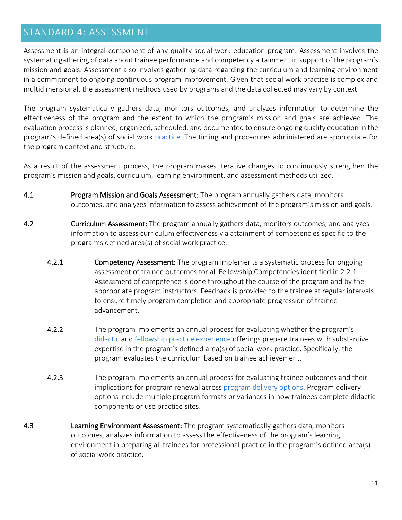#### <span id="page-10-0"></span>STANDARD 4: ASSESSMENT

Assessment is an integral component of any quality social work education program. Assessment involves the systematic gathering of data about trainee performance and competency attainment in support of the program's mission and goals. Assessment also involves gathering data regarding the curriculum and learning environment in a commitment to ongoing continuous program improvement. Given that social work practice is complex and multidimensional, the assessment methods used by programs and the data collected may vary by context.

The program systematically gathers data, monitors outcomes, and analyzes information to determine the effectiveness of the program and the extent to which the program's mission and goals are achieved. The evaluation process is planned, organized, scheduled, and documented to ensure ongoing quality education in the program's defined area(s) of social work [practice.](#page-12-0) The timing and procedures administered are appropriate for the program context and structure.

As a result of the assessment process, the program makes iterative changes to continuously strengthen the program's mission and goals, curriculum, learning environment, and assessment methods utilized.

- 4.1 **Program Mission and Goals Assessment:** The program annually gathers data, monitors outcomes, and analyzes information to assess achievement of the program's mission and goals.
- 4.2 **Curriculum Assessment:** The program annually gathers data, monitors outcomes, and analyzes information to assess curriculum effectiveness via attainment of competencies specific to the program's defined area(s) of social work practice.
	- 4.2.1 Competency Assessment: The program implements a systematic process for ongoing assessment of trainee outcomes for all Fellowship Competencies identified in 2.2.1. Assessment of competence is done throughout the course of the program and by the appropriate program instructors. Feedback is provided to the trainee at regular intervals to ensure timely program completion and appropriate progression of trainee advancement.
	- 4.2.2 The program implements an annual process for evaluating whether the program's [didactic](#page-12-0) and [fellowship practice experience](#page-12-0) offerings prepare trainees with substantive expertise in the program's defined area(s) of social work practice. Specifically, the program evaluates the curriculum based on trainee achievement.
	- **4.2.3** The program implements an annual process for evaluating trainee outcomes and their implications for program renewal across [program delivery options.](#page-12-0) Program delivery options include multiple program formats or variances in how trainees complete didactic components or use practice sites.
- 4.3 **Learning Environment Assessment:** The program systematically gathers data, monitors outcomes, analyzes information to assess the effectiveness of the program's learning environment in preparing all trainees for professional practice in the program's defined area(s) of social work practice.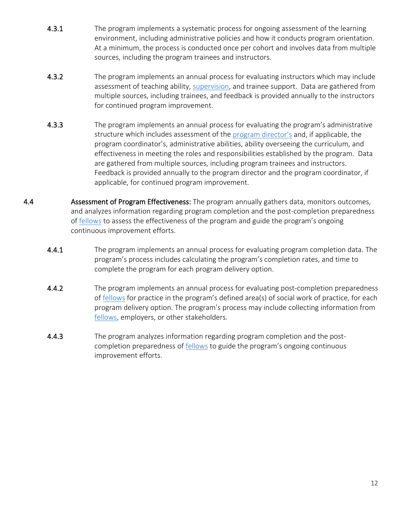- 4.3.1 The program implements a systematic process for ongoing assessment of the learning environment, including administrative policies and how it conducts program orientation. At a minimum, the process is conducted once per cohort and involves data from multiple sources, including the program trainees and instructors.
- 4.3.2 The program implements an annual process for evaluating instructors which may include assessment of teaching ability, [supervision,](#page-12-0) and trainee support. Data are gathered from multiple sources, including trainees, and feedback is provided annually to the instructors for continued program improvement.
- 4.3.3 The program implements an annual process for evaluating the program's administrative structure which includes assessment of th[e program director'](#page-12-0)s and, if applicable, the program coordinator's, administrative abilities, ability overseeing the curriculum, and effectiveness in meeting the roles and responsibilities established by the program. Data are gathered from multiple sources, including program trainees and instructors. Feedback is provided annually to the program director and the program coordinator, if applicable, for continued program improvement.
- 4.4 **Assessment of Program Effectiveness:** The program annually gathers data, monitors outcomes, and analyzes information regarding program completion and the post-completion preparedness of [fellows](#page-12-0) to assess the effectiveness of the program and guide the program's ongoing continuous improvement efforts.
	- 4.4.1 The program implements an annual process for evaluating program completion data. The program's process includes calculating the program's completion rates, and time to complete the program for each program delivery option.
	- **4.4.2** The program implements an annual process for evaluating post-completion preparedness of [fellows](#page-12-0) for practice in the program's defined area(s) of social work of practice, for each program delivery option. The program's process may include collecting information from [fellows,](#page-12-0) employers, or other stakeholders.
	- 4.4.3 The program analyzes information regarding program completion and the postcompletion preparedness of **fellows** to guide the program's ongoing continuous improvement efforts.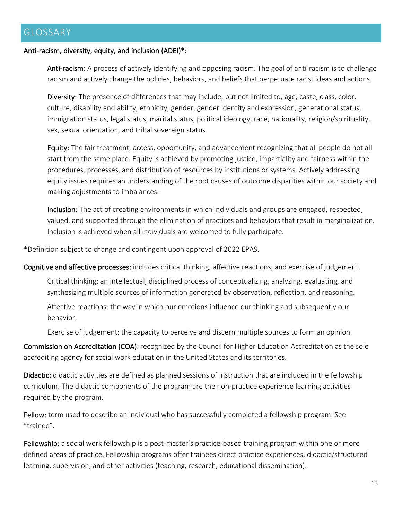#### <span id="page-12-0"></span>GLOSSARY

#### Anti-racism, diversity, equity, and inclusion (ADEI)\*:

Anti-racism: A process of actively identifying and opposing racism. The goal of anti-racism is to challenge racism and actively change the policies, behaviors, and beliefs that perpetuate racist ideas and actions.

Diversity: The presence of differences that may include, but not limited to, age, caste, class, color, culture, disability and ability, ethnicity, gender, gender identity and expression, generational status, immigration status, legal status, marital status, political ideology, race, nationality, religion/spirituality, sex, sexual orientation, and tribal sovereign status.

Equity: The fair treatment, access, opportunity, and advancement recognizing that all people do not all start from the same place. Equity is achieved by promoting justice, impartiality and fairness within the procedures, processes, and distribution of resources by institutions or systems. Actively addressing equity issues requires an understanding of the root causes of outcome disparities within our society and making adjustments to imbalances.

Inclusion: The act of creating environments in which individuals and groups are engaged, respected, valued, and supported through the elimination of practices and behaviors that result in marginalization. Inclusion is achieved when all individuals are welcomed to fully participate.

\*Definition subject to change and contingent upon approval of 2022 EPAS.

Cognitive and affective processes: includes critical thinking, affective reactions, and exercise of judgement.

Critical thinking: an intellectual, disciplined process of conceptualizing, analyzing, evaluating, and synthesizing multiple sources of information generated by observation, reflection, and reasoning.

Affective reactions: the way in which our emotions influence our thinking and subsequently our behavior.

Exercise of judgement: the capacity to perceive and discern multiple sources to form an opinion.

Commission on Accreditation (COA): recognized by the Council for Higher Education Accreditation as the sole accrediting agency for social work education in the United States and its territories.

Didactic: didactic activities are defined as planned sessions of instruction that are included in the fellowship curriculum. The didactic components of the program are the non-practice experience learning activities required by the program.

Fellow: term used to describe an individual who has successfully completed a fellowship program. See "trainee".

Fellowship: a social work fellowship is a post-master's practice-based training program within one or more defined areas of practice. Fellowship programs offer trainees direct practice experiences, didactic/structured learning, supervision, and other activities (teaching, research, educational dissemination).